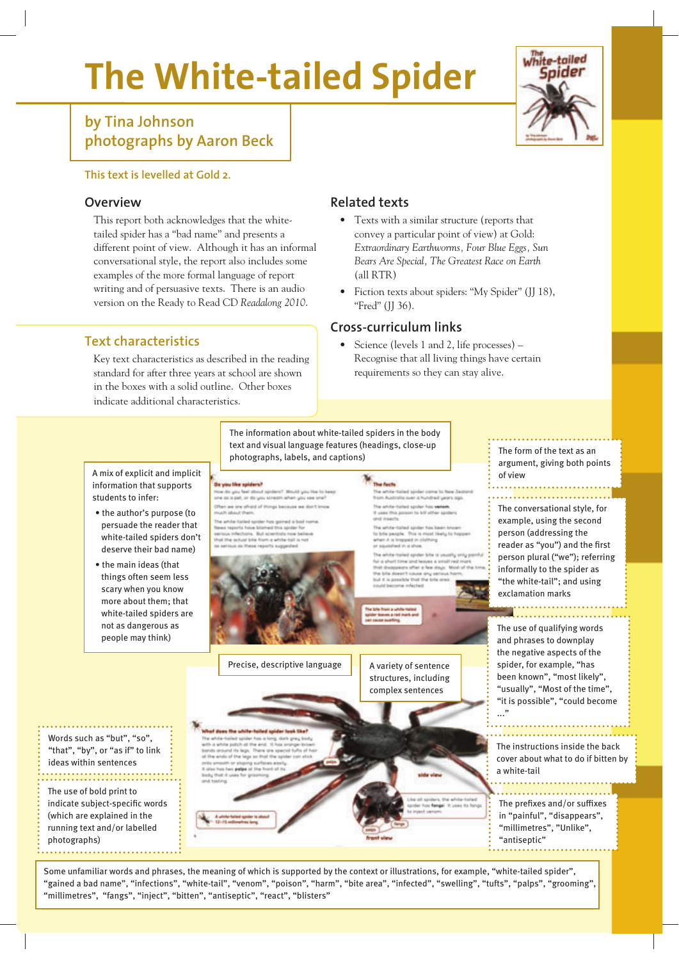# **The White-tailed Spider**



# **by Tina Johnson photographs by Aaron Beck**

#### **This text is levelled at Gold 2.**

## **Overview**

This report both acknowledges that the whitetailed spider has a "bad name" and presents a different point of view. Although it has an informal conversational style, the report also includes some examples of the more formal language of report writing and of persuasive texts. There is an audio version on the Ready to Read CD *Readalong 2010*.

## **Text characteristics**

Key text characteristics as described in the reading standard for after three years at school are shown in the boxes with a solid outline. Other boxes indicate additional characteristics.

#### **Related texts**

- Texts with a similar structure (reports that convey a particular point of view) at Gold: *Extraordinary Earthworms, Four Blue Eggs, Sun Bears Are Special, The Greatest Race on Earth* (all RTR)
- Fiction texts about spiders: "My Spider" (JJ 18), "Fred" (JJ 36).

## **Cross-curriculum links**

• Science (levels 1 and 2, life processes) – Recognise that all living things have certain requirements so they can stay alive.



Some unfamiliar words and phrases, the meaning of which is supported by the context or illustrations, for example, "white-tailed spider", "gained a bad name", "infections", "white-tail", "venom", "poison", "harm", "bite area", "infected", "swelling", "tufts", "palps", "grooming", "millimetres", "fangs", "inject", "bitten", "antiseptic", "react", "blisters"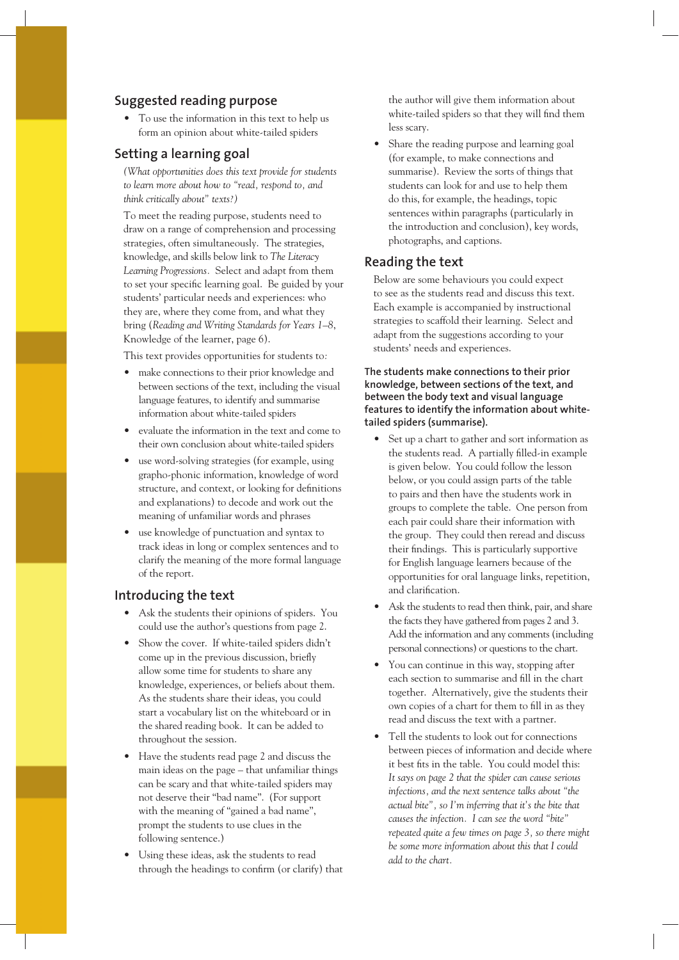#### **Suggested reading purpose**

• To use the information in this text to help us form an opinion about white-tailed spiders

#### **Setting a learning goal**

*(What opportunities does this text provide for students to learn more about how to "read, respond to, and think critically about" texts?)* 

To meet the reading purpose, students need to draw on a range of comprehension and processing strategies, often simultaneously. The strategies, knowledge, and skills below link to *The Literacy Learning Progressions.* Select and adapt from them to set your specific learning goal. Be guided by your students' particular needs and experiences: who they are, where they come from, and what they bring (*Reading and Writing Standards for Years 1–8*, Knowledge of the learner, page 6).

This text provides opportunities for students to*:*

- make connections to their prior knowledge and between sections of the text, including the visual language features, to identify and summarise information about white-tailed spiders
- evaluate the information in the text and come to their own conclusion about white-tailed spiders
- use word-solving strategies (for example, using grapho-phonic information, knowledge of word structure, and context, or looking for definitions and explanations) to decode and work out the meaning of unfamiliar words and phrases
- use knowledge of punctuation and syntax to track ideas in long or complex sentences and to clarify the meaning of the more formal language of the report.

#### **Introducing the text**

- Ask the students their opinions of spiders. You could use the author's questions from page 2.
- Show the cover. If white-tailed spiders didn't come up in the previous discussion, briefly allow some time for students to share any knowledge, experiences, or beliefs about them. As the students share their ideas, you could start a vocabulary list on the whiteboard or in the shared reading book. It can be added to throughout the session.
- Have the students read page 2 and discuss the main ideas on the page – that unfamiliar things can be scary and that white-tailed spiders may not deserve their "bad name". (For support with the meaning of "gained a bad name", prompt the students to use clues in the following sentence.)
- Using these ideas, ask the students to read through the headings to confirm (or clarify) that

the author will give them information about white-tailed spiders so that they will find them less scary.

• Share the reading purpose and learning goal (for example, to make connections and summarise). Review the sorts of things that students can look for and use to help them do this, for example, the headings, topic sentences within paragraphs (particularly in the introduction and conclusion), key words, photographs, and captions.

#### **Reading the text**

Below are some behaviours you could expect to see as the students read and discuss this text. Each example is accompanied by instructional strategies to scaffold their learning. Select and adapt from the suggestions according to your students' needs and experiences.

#### **The students make connections to their prior knowledge, between sections of the text, and between the body text and visual language features to identify the information about whitetailed spiders (summarise).**

- Set up a chart to gather and sort information as the students read. A partially filled-in example is given below. You could follow the lesson below, or you could assign parts of the table to pairs and then have the students work in groups to complete the table. One person from each pair could share their information with the group. They could then reread and discuss their findings. This is particularly supportive for English language learners because of the opportunities for oral language links, repetition, and clarification.
- Ask the students to read then think, pair, and share the facts they have gathered from pages 2 and 3. Add the information and any comments (including personal connections) or questions to the chart.
- You can continue in this way, stopping after each section to summarise and fill in the chart together. Alternatively, give the students their own copies of a chart for them to fill in as they read and discuss the text with a partner.
- Tell the students to look out for connections between pieces of information and decide where it best fits in the table. You could model this: *It says on page 2 that the spider can cause serious infections, and the next sentence talks about "the actual bite", so I'm inferring that it's the bite that causes the infection. I can see the word "bite" repeated quite a few times on page 3, so there might be some more information about this that I could add to the chart.*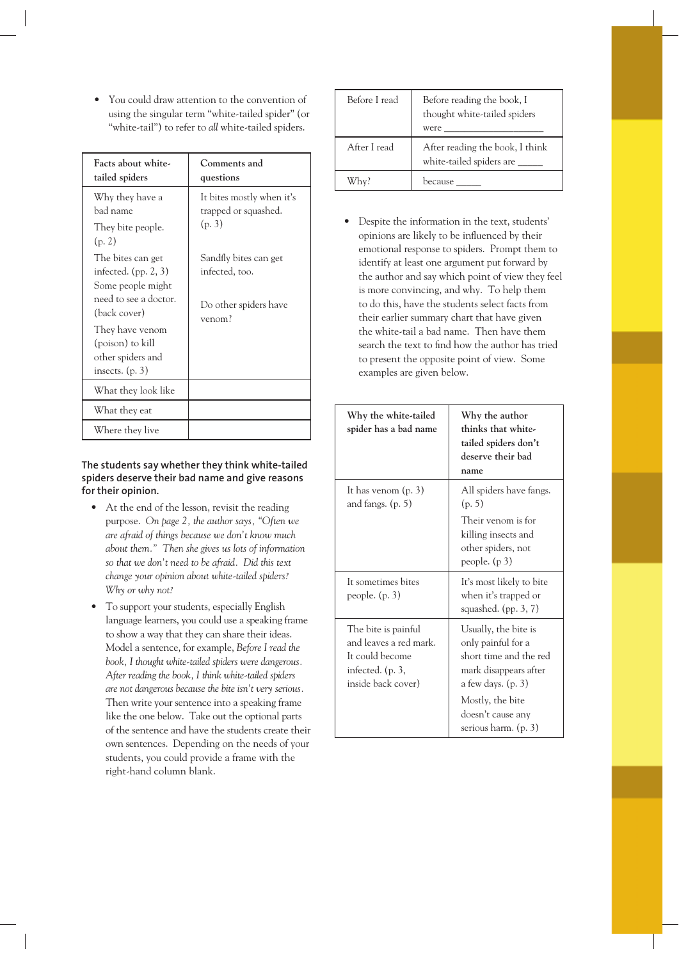• You could draw attention to the convention of using the singular term "white-tailed spider" (or "white-tail") to refer to *all* white-tailed spiders.

| Facts about white-<br>tailed spiders                                                                                                                                                       | Comments and<br>questions                                                  |
|--------------------------------------------------------------------------------------------------------------------------------------------------------------------------------------------|----------------------------------------------------------------------------|
| Why they have a<br>bad name<br>They bite people.<br>(p. 2)                                                                                                                                 | It bites mostly when it's<br>trapped or squashed.<br>(p. 3)                |
| The bites can get<br>infected. $(pp. 2, 3)$<br>Some people might<br>need to see a doctor.<br>(back cover)<br>They have venom<br>(poison) to kill<br>other spiders and<br>insects. $(p. 3)$ | Sandfly bites can get<br>infected, too.<br>Do other spiders have<br>venom? |
| What they look like                                                                                                                                                                        |                                                                            |
| What they eat                                                                                                                                                                              |                                                                            |
| Where they live                                                                                                                                                                            |                                                                            |

#### **The students say whether they think white-tailed spiders deserve their bad name and give reasons for their opinion.**

- At the end of the lesson, revisit the reading purpose. *On page 2, the author says, "Often we are afraid of things because we don't know much about them." Then she gives us lots of information so that we don't need to be afraid. Did this text change your opinion about white-tailed spiders? Why or why not?*
- To support your students, especially English language learners, you could use a speaking frame to show a way that they can share their ideas. Model a sentence, for example, *Before I read the book, I thought white-tailed spiders were dangerous. After reading the book, I think white-tailed spiders are not dangerous because the bite isn't very serious.* Then write your sentence into a speaking frame like the one below. Take out the optional parts of the sentence and have the students create their own sentences. Depending on the needs of your students, you could provide a frame with the right-hand column blank.

| Before I read | Before reading the book, I<br>thought white-tailed spiders<br>were |
|---------------|--------------------------------------------------------------------|
| After I read  | After reading the book, I think<br>white-tailed spiders are __     |
| Whv?          | because                                                            |

• Despite the information in the text, students' opinions are likely to be influenced by their emotional response to spiders. Prompt them to identify at least one argument put forward by the author and say which point of view they feel is more convincing, and why. To help them to do this, have the students select facts from their earlier summary chart that have given the white-tail a bad name. Then have them search the text to find how the author has tried to present the opposite point of view. Some examples are given below.

| Why the white-tailed<br>spider has a bad name                                                                | Why the author<br>thinks that white-<br>tailed spiders don't<br>deserve their bad<br>name                                                                                              |
|--------------------------------------------------------------------------------------------------------------|----------------------------------------------------------------------------------------------------------------------------------------------------------------------------------------|
| It has venom $(p. 3)$<br>and fangs. $(p. 5)$                                                                 | All spiders have fangs.<br>(p. 5)<br>Their venom is for<br>killing insects and<br>other spiders, not<br>people. $(p 3)$                                                                |
| It sometimes bites<br>people. $(p. 3)$                                                                       | It's most likely to bite<br>when it's trapped or<br>squashed. $(pp. 3, 7)$                                                                                                             |
| The bite is painful<br>and leaves a red mark.<br>It could become<br>infected. $(p. 3,$<br>inside back cover) | Usually, the bite is<br>only painful for a<br>short time and the red<br>mark disappears after<br>a few days. $(p. 3)$<br>Mostly, the bite<br>doesn't cause any<br>serious harm. (p. 3) |